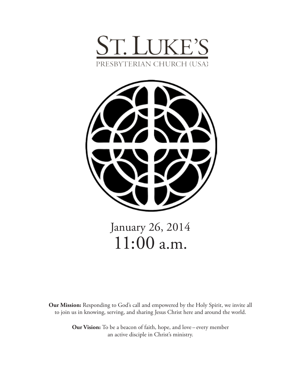



January 26, 2014 11:00 a.m.

**Our Mission:** Responding to God's call and empowered by the Holy Spirit, we invite all to join us in knowing, serving, and sharing Jesus Christ here and around the world.

> **Our Vision:** To be a beacon of faith, hope, and love – every member an active disciple in Christ's ministry.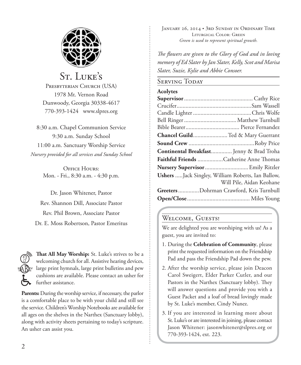

# St. Luke's

PRESBYTERIAN CHURCH (USA) 1978 Mt. Vernon Road Dunwoody, Georgia 30338-4617 770-393-1424 www.slpres.org

8:30 a.m. Chapel Communion Service 9:30 a.m. Sunday School 11:00 a.m. Sanctuary Worship Service *Nursery provided for all services and Sunday School*

> OFFICE HOURS: Mon. - Fri., 8:30 a.m. - 4:30 p.m.

Dr. Jason Whitener, Pastor Rev. Shannon Dill, Associate Pastor Rev. Phil Brown, Associate Pastor Dr. E. Moss Robertson, Pastor Emeritus



**That All May Worship:** St. Luke's strives to be a welcoming church for all. Assistive hearing devices, large print hymnals, large print bulletins and pew cushions are available. Please contact an usher for further assistance.

**Parents:** During the worship service, if necessary, the parlor is a comfortable place to be with your child and still see the service. Children's Worship Notebooks are available for all ages on the shelves in the Narthex (Sanctuary lobby), along with activity sheets pertaining to today's scripture. An usher can assist you.

January 26, 2014 • 3rd Sunday in Ordinary Time Liturgical Color: Green *Green is used to represent spiritual growth.* 

*The flowers are given to the Glory of God and in loving memory of Ed Slater by Jan Slater, Kelly, Scot and Marisa Slater, Suzie, Kylie and Abbie Consoer.*

# Serving Today

### **Acolytes**

| Chancel Guild Ted & Mary Guerrant                  |                          |
|----------------------------------------------------|--------------------------|
|                                                    |                          |
| Continental Breakfast Jenny & Brad Troha           |                          |
| Faithful Friends Catherine Anne Thomas             |                          |
| Nursery Supervisor  Emily Ritzler                  |                          |
| Ushers  Jack Singley, William Roberts, Ian Ballow, |                          |
|                                                    | Will Pile, Aidan Keohane |
| Greeters Dohrman Crawford, Kris Turnbull           |                          |
|                                                    |                          |

# WELCOME, GUESTS!

We are delighted you are worshiping with us! As a guest, you are invited to:

- 1. During the **Celebration of Community**, please print the requested information on the Friendship Pad and pass the Friendship Pad down the pew.
- 2. After the worship service, please join Deacon Carol Sweigert, Elder Parker Cutler, and our Pastors in the Narthex (Sanctuary lobby). They will answer questions and provide you with a Guest Packet and a loaf of bread lovingly made by St. Luke's member, Cindy Nunez.
- 3. If you are interested in learning more about St. Luke's or are interested in joining, please contact Jason Whitener: jasonwhitener@slpres.org or 770-393-1424, ext. 223.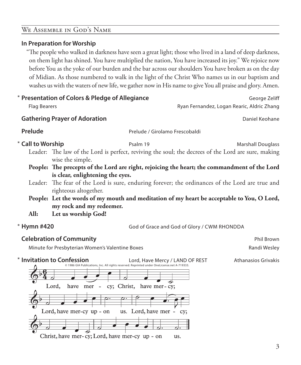# We Assemble in God's Name

# **In Preparation for Worship**

 "The people who walked in darkness have seen a great light; those who lived in a land of deep darkness, on them light has shined. You have multiplied the nation, You have increased its joy." We rejoice now before You as the yoke of our burden and the bar across our shoulders You have broken as on the day of Midian. As those numbered to walk in the light of the Christ Who names us in our baptism and washes us with the waters of new life, we gather now in His name to give You all praise and glory. Amen.

| * Presentation of Colors & Pledge of Allegiance<br>George Zeliff                           |                                                                                              |                                                                                                     |
|--------------------------------------------------------------------------------------------|----------------------------------------------------------------------------------------------|-----------------------------------------------------------------------------------------------------|
| <b>Flag Bearers</b>                                                                        |                                                                                              | Ryan Fernandez, Logan Rearic, Aldric Zhang                                                          |
|                                                                                            | <b>Gathering Prayer of Adoration</b>                                                         | Daniel Keohane                                                                                      |
| Prelude                                                                                    |                                                                                              | Prelude / Girolamo Frescobaldi                                                                      |
| * Call to Worship                                                                          | Psalm 19                                                                                     | <b>Marshall Douglass</b>                                                                            |
|                                                                                            | wise the simple.                                                                             | Leader: The law of the Lord is perfect, reviving the soul; the decrees of the Lord are sure, making |
|                                                                                            | People: The precepts of the Lord are right, rejoicing the heart; the commandment of the Lord |                                                                                                     |
|                                                                                            | is clear, enlightening the eyes.                                                             |                                                                                                     |
|                                                                                            | righteous altogether.                                                                        | Leader: The fear of the Lord is sure, enduring forever; the ordinances of the Lord are true and     |
| People: Let the words of my mouth and meditation of my heart be acceptable to You, O Lord, |                                                                                              |                                                                                                     |
|                                                                                            | my rock and my redeemer.                                                                     |                                                                                                     |
| All:                                                                                       | Let us worship God!                                                                          |                                                                                                     |
| * Hymn #420                                                                                |                                                                                              | God of Grace and God of Glory / CWM RHONDDA                                                         |

**Hymn #420 God of Grace and God of Glory / CWM RHONDDA** 

# **Celebration of Community Celebration of Community Phil Brown**

Minute for Presbyterian Women's Valentine Boxes **Randi Wesley** Randi Wesley

\* Invitation to Confession Lord, Have Mercy / LAND OF REST Athanasios Grivakis © 1986 GIA Publications, Inc. All rights reserved. Reprinted under OneLicense.net A-719333.Lord, cy; Christ, have mer-cy; have mer  $\overline{\phantom{a}}$ Lord, have mer-cy up - on us. Lord, have mer cy; Christ, have mer-cy; Lord, have mer-cy up - on us.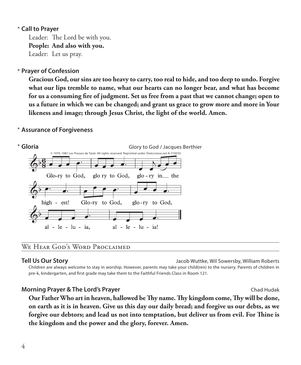# **Call to Prayer**  \*

Leader: The Lord be with you. **People: And also with you.** Leader: Let us pray.

# **Prayer of Confession**  \*

 **Gracious God, our sins are too heavy to carry, too real to hide, and too deep to undo. Forgive what our lips tremble to name, what our hearts can no longer bear, and what has become for us a consuming fire of judgment. Set us free from a past that we cannot change; open to us a future in which we can be changed; and grant us grace to grow more and more in Your likeness and image; through Jesus Christ, the light of the world. Amen.**

# **Assurance of Forgiveness** \*



# We Hear God's Word Proclaimed

**Tell Us Our Story** Jacob Wuttke, Wil Sowersby, William Roberts

 Children are always welcome to stay in worship. However, parents may take your child(ren) to the nursery. Parents of children in pre-k, kindergarten, and first grade may take them to the Faithful Friends Class in Room 121.

# **Morning Prayer & The Lord's Prayer** Chad Hudak **Chad Hudak** Chad Hudak

 **Our Father Who art in heaven, hallowed be Thy name. Thy kingdom come, Thy will be done, on earth as it is in heaven. Give us this day our daily bread; and forgive us our debts, as we forgive our debtors; and lead us not into temptation, but deliver us from evil. For Thine is the kingdom and the power and the glory, forever. Amen.**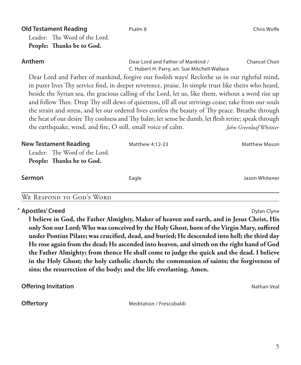| People: Thanks be to God.                                                                                                                                                                                                                                                                                                                                                                                                                                                                                                                                                                                                                                                                        |                                                                                    |                         |
|--------------------------------------------------------------------------------------------------------------------------------------------------------------------------------------------------------------------------------------------------------------------------------------------------------------------------------------------------------------------------------------------------------------------------------------------------------------------------------------------------------------------------------------------------------------------------------------------------------------------------------------------------------------------------------------------------|------------------------------------------------------------------------------------|-------------------------|
| Anthem                                                                                                                                                                                                                                                                                                                                                                                                                                                                                                                                                                                                                                                                                           | Dear Lord and Father of Mankind /<br>C. Hubert H. Parry, arr. Sue Mitchell Wallace | <b>Chancel Choir</b>    |
| Dear Lord and Father of mankind, forgive our foolish ways! Reclothe us in our rightful mind,<br>in purer lives Thy service find, in deeper reverence, praise. In simple trust like theirs who heard,<br>beside the Syrian sea, the gracious calling of the Lord, let us, like them, without a word rise up<br>and follow Thee. Drop Thy still dews of quietness, till all our strivings cease; take from our souls<br>the strain and stress, and let our ordered lives confess the beauty of Thy peace. Breathe through<br>the heat of our desire Thy coolness and Thy balm; let sense be dumb, let flesh retire; speak through<br>the earthquake, wind, and fire, O still, small voice of calm. |                                                                                    | John Greenleaf Whittier |
| <b>New Testament Reading</b><br>Leader: The Word of the Lord.<br>People: Thanks be to God.                                                                                                                                                                                                                                                                                                                                                                                                                                                                                                                                                                                                       | Matthew 4:12-23                                                                    | <b>Matthew Mason</b>    |
| Sermon                                                                                                                                                                                                                                                                                                                                                                                                                                                                                                                                                                                                                                                                                           | Eagle                                                                              | Jason Whitener          |
| WE RESPOND TO GOD'S WORD                                                                                                                                                                                                                                                                                                                                                                                                                                                                                                                                                                                                                                                                         |                                                                                    |                         |

# **Apostles' Creed** Dylan Clyne **Creed** Dylan Clyne

 **I believe in God, the Father Almighty, Maker of heaven and earth, and in Jesus Christ, His only Son our Lord; Who was conceived by the Holy Ghost, born of the Virgin Mary, suffered under Pontius Pilate; was crucified, dead, and buried; He descended into hell; the third day He rose again from the dead; He ascended into heaven, and sitteth on the right hand of God the Father Almighty; from thence He shall come to judge the quick and the dead. I believe in the Holy Ghost; the holy catholic church; the communion of saints; the forgiveness of sins; the resurrection of the body; and the life everlasting. Amen.**

**Offering Invitation** Nathan Veal And The Control of the Nathan Veal And The Nathan Veal And The Nathan Veal And The Nathan Veal And The Nathan Veal And The Nathan Veal And The Nathan Veal And The Nathan Veal And The Natha

**Offertory** Meditation / Frescobaldi

# **Old Testament Reading** Psalm 8 **Chris Wolfe Chris Wolfe Chris Wolfe Chris Wolfe Chris Wolfe Chris Wolfe Chris Wolfe Chris Wolfe Chris Wolfe Chris Wolfe Chris Wolfe Chris Wolfe Chris Wolfe Chris Wolfe Chris Chris Chris Chr** Leader: The Word of the Lord.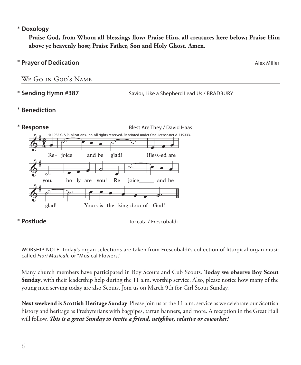# **Doxology** \*

 **Praise God, from Whom all blessings flow; Praise Him, all creatures here below; Praise Him above ye heavenly host; Praise Father, Son and Holy Ghost. Amen.**

# **Prayer of Dedication Alex Miller Prayer of Dedication**

# We Go in God's Name

Savior, Like a Shepherd Lead Us / BRADBURY \* Sending Hymn #387

### **Benediction** \*



# \*

**Postlude** Toccata / Frescobaldi

WORSHIP NOTE: Today's organ selections are taken from Frescobaldi's collection of liturgical organ music called *Fiori Musicali*, or "Musical Flowers."

Many church members have participated in Boy Scouts and Cub Scouts. **Today we observe Boy Scout Sunday**, with their leadership help during the 11 a.m. worship service. Also, please notice how many of the young men serving today are also Scouts. Join us on March 9th for Girl Scout Sunday.

**Next weekend is Scottish Heritage Sunday** Please join us at the 11 a.m. service as we celebrate our Scottish history and heritage as Presbyterians with bagpipes, tartan banners, and more. A reception in the Great Hall will follow. *This is a great Sunday to invite a friend, neighbor, relative or coworker!*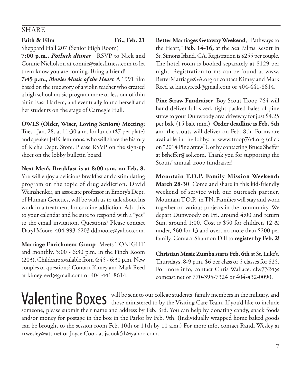# SHARE

# **Faith & Film Fri., Feb. 21**

Sheppard Hall 207 (Senior High Room)

**7:00 p.m.,** *Potluck dinner*RSVP to Nick and Connie Nicholson at connie@salesfitness.com to let them know you are coming. Bring a friend!

**7:45 p.m.,** *Movie: Music of the Heart*A 1991 film based on the true story of a violin teacher who created a high school music program more or less out of thin air in East Harlem, and eventually found herself and her students on the stage of Carnegie Hall.

# **OWLS (Older, Wiser, Loving Seniors) Meeting:**

Tues., Jan. 28, at 11:30 a.m. for lunch (\$7 per plate) and speaker Jeff Clemmons, who will share the history of Rich's Dept. Store. Please RSVP on the sign-up sheet on the lobby bulletin board.

**Next Men's Breakfast is at 8:00 a.m. on Feb. 8.**  You will enjoy a delicious breakfast and a stimulating

program on the topic of drug addiction. David Weinshenker, an associate professor in Emory's Dept. of Human Genetics, will be with us to talk about his work in a treatment for cocaine addiction. Add this to your calendar and be sure to respond with a "yes" to the email invitation. Questions? Please contact Daryl Moore: 404-993-6203 ddmoore@yahoo.com.

**Marriage Enrichment Group** Meets TONIGHT and monthly, 5:00 - 6:30 p.m. in the Finch Room (203). Childcare available from 4:45 - 6:30 p.m. New couples or questions? Contact Kimey and Mark Reed at kimeyreed@gmail.com or 404-441-8614.

**Better Marriages Getaway Weekend**, "Pathways to the Heart," **Feb. 14-16,** at the Sea Palms Resort in St. Simons Island, GA. Registration is \$255 per couple. The hotel room is booked separately at \$129 per night. Registration forms can be found at www. BetterMarriagesGA.org or contact Kimey and Mark Reed at kimeyreed@gmail.com or 404-441-8614.

**Pine Straw Fundraiser** Boy Scout Troop 764 will hand deliver full-sized, tight-packed bales of pine straw to your Dunwoody area driveway for just \$4.25 per bale (15 bale min.). **Order deadline is Feb. 5th** and the scouts will deliver on Feb. 8th. Forms are available in the lobby, at www.troop764.org (click on "2014 Pine Straw"), or by contacting Bruce Sheffer at bsheffer@aol.com. Thank you for supporting the Scouts' annual troop fundraiser!

**Mountain T.O.P. Family Mission Weekend: March 28-30** Come and share in this kid-friendly weekend of service with our outreach partner, Mountain T.O.P., in TN. Families will stay and work together on various projects in the community. We depart Dunwoody on Fri. around 4:00 and return Sun. around 1:00. Cost is \$50 for children 12 & under, \$60 for 13 and over; no more than \$200 per family. Contact Shannon Dill to **register by Feb. 2**!

**Christian Music Zumba starts Feb. 6th** at St. Luke's. Thursdays, 8-9 p.m. \$6 per class or 5 classes for \$25. For more info, contact Chris Wallace: clw7324@ comcast.net or 770-395-7324 or 404-432-0090.

Valentine Boxes will be sent to our college students, family members in the military, and those ministered to by the Visiting Care Team. If you'd like to include someone, please submit their name and address by Feb. 3rd. You can help by donating candy, snack foods and/or money for postage in the box in the Parlor by Feb. 9th. (Individually wrapped home baked goods can be brought to the session room Feb. 10th or 11th by 10 a.m.) For more info, contact Randi Wesley at rrwesley@att.net or Joyce Cook at jscook51@yahoo.com.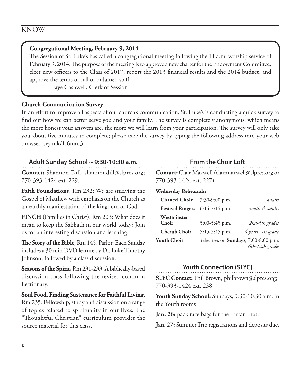# **Congregational Meeting, February 9, 2014**

The Session of St. Luke's has called a congregational meeting following the 11 a.m. worship service of February 9, 2014. The purpose of the meeting is to approve a new charter for the Endowment Committee, elect new officers to the Class of 2017, report the 2013 financial results and the 2014 budget, and approve the terms of call of ordained staff.

Faye Cashwell, Clerk of Session

### **Church Communication Survey**

In an effort to improve all aspects of our church's communication, St. Luke's is conducting a quick survey to find out how we can better serve you and your family. The survey is completely anonymous, which means the more honest your answers are, the more we will learn from your participation. The survey will only take you about five minutes to complete; please take the survey by typing the following address into your web browser: svy.mk/1f6nmf3

# **Adult Sunday School ~ 9:30-10:30 a.m.**

**Contact:** Shannon Dill, shannondill@slpres.org; 770-393-1424 ext. 229.

**Faith Foundations**, Rm 232: We are studying the Gospel of Matthew with emphasis on the Church as an earthly manifestation of the kingdom of God.

**FINCH** (Families in Christ), Rm 203: What does it mean to keep the Sabbath in our world today? Join us for an interesting discussion and learning.

**The Story of the Bible,** Rm 145, Parlor: Each Sunday includes a 30 min DVD lecture by Dr. Luke Timothy Johnson, followed by a class discussion.

**Seasons of the Spirit,** Rm 231-233: A biblically-based discussion class following the revised common Lectionary.

**Soul Food, Finding Sustenance for Faithful Living,** Rm 235: Fellowship, study and discussion on a range of topics related to spirituality in our lives. The "Thoughtful Christian" curriculum provides the source material for this class.

# **From the Choir Loft**

**Contact:** Clair Maxwell (clairmaxwell@slpres.org or 770-393-1424 ext. 227).

### **Wednesday Rehearsals:**

| <b>Chancel Choir</b>    | $7:30-9:00$ p.m. | adults                                                          |
|-------------------------|------------------|-----------------------------------------------------------------|
| <b>Festival Ringers</b> | $6:15-7:15$ p.m. | youth & adults                                                  |
| Westminster<br>Choir    | $5:00-5:45$ p.m. | 2nd-5th grades                                                  |
| <b>Cherub Choir</b>     | $5:15-5:45$ p.m. | 4 years -1st grade                                              |
| <b>Youth Choir</b>      |                  | rehearses on <b>Sundays</b> , 7:00-8:00 p.m.<br>6th-12th grades |

# **Youth Connection (SLYC)**

**SLYC Contact:** Phil Brown, philbrown@slpres.org; 770-393-1424 ext. 238.

**Youth Sunday School:** Sundays, 9:30-10:30 a.m. in the Youth rooms

**Jan. 26:** pack race bags for the Tartan Trot.

**Jan. 27:** Summer Trip registrations and deposits due.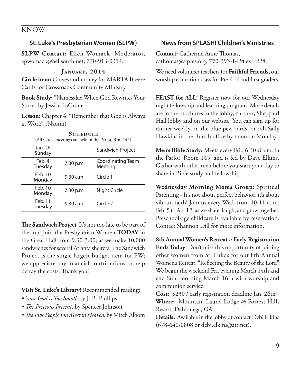## KNOW

# **St. Luke's Presbyterian Women (SLPW)**

**SLPW Contact:** Ellen Womack, Moderator, epwomack@bellsouth.net; 770-913-0314.

### **J a n ua ry , 2014**

**Circle item:** Gloves and money for MARTA Breeze Cards for Crossroads Community Ministry

**Book Study:** "Namesake: When God Rewrites Your Story" by Jessica LaGrone

**Lesson:** Chapter 4: "Remember that God is Always at Work" (Naomi)

| <b>SCHEDULE</b><br>(All Circle meetings are held in the Parlor, Rm. 145) |                              |  |  |
|--------------------------------------------------------------------------|------------------------------|--|--|
|                                                                          | Sandwich Project             |  |  |
| 7:00 p.m.                                                                | Coordinating Team<br>Meeting |  |  |
| 9:30 a.m.                                                                | Circle 1                     |  |  |
| 7:30 p.m.                                                                | Night Circle                 |  |  |
| 9:30 a.m.                                                                | Circle <sub>2</sub>          |  |  |
|                                                                          |                              |  |  |

**The Sandwich Project** It's not too late to be part of the fun! Join the Presbyterian Women **TODAY** in the Great Hall from 9:30-3:00, as we make 10,000 sandwiches for several Atlanta shelters. The Sandwich Project is the single largest budget item for PW; we appreciate any financial contributions to help defray the costs. Thank you!

**Visit St. Luke's Library!** Recommended reading:

- *Your God is Too Small,* by J. B. Phillips
- *The Precious Present,* by Spencer Johnson
- *The Five People You Meet in Heaven,* by Mitch Albom

# **News from SPLASH! Children's Ministries**

**Contact:** Catherine Anne Thomas, cathomas@slpres.org, 770-393-1424 ext. 228.

We need volunteer teachers for **Faithful Friends,** our worship education class for PreK, K and first graders.

**FEAST for ALL!** Register now for our Wednesday night fellowship and learning program. More details are in the brochures in the lobby, narthex, Sheppard Hall lobby and on our website. You can sign up for dinner weekly on the blue pew cards, or call Sally Hawkins in the church office by noon on Monday.

**Men's Bible Study:** Meets every Fri., 6:40-8 a.m. in the Parlor, Room 145, and is led by Dave Elkins. Gather with other men before you start your day to share in Bible study and fellowship.

**Wednesday Morning Moms Group:** Spiritual Parenting - It's not about perfect behavior, it's about vibrant faith! Join us every Wed. from 10-11 a.m., Feb. 5 to April 2, as we share, laugh, and grow together. Preschool-age childcare is available by reservation. Contact Shannon Dill for more information.

**8th Annual Women's Retreat ~ Early Registration Ends Today** Don't miss this opportunity of joining other women from St. Luke's for our 8th Annual Women's Retreat, "Reflecting the Beauty of the Lord" We begin the weekend Fri. evening March 14th and end Sun. morning March 16th with worship and communion service.

**Cost:** \$230 / early registration deadline Jan. 26th **Where:** Mountain Laurel Lodge @ Forrest Hills Resort, Dahlonega, GA

**Details:** Available in the lobby or contact Debi Elkins (678-640-0808 or debi.elkins@att.net).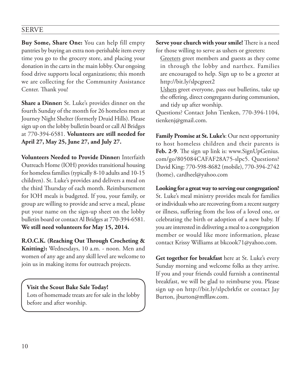# SERVE

**Buy Some, Share One:** You can help fill empty pantries by buying an extra non-perishable item every time you go to the grocery store, and placing your donation in the carts in the main lobby. Our ongoing food drive supports local organizations; this month we are collecting for the Community Assistance Center. Thank you!

**Share a Dinner:** St. Luke's provides dinner on the fourth Sunday of the month for 26 homeless men at Journey Night Shelter (formerly Druid Hills). Please sign up on the lobby bulletin board or call Al Bridges at 770-394-6581. **Volunteers are still needed for April 27, May 25, June 27, and July 27.**

**Volunteers Needed to Provide Dinner:** Interfaith Outreach Home (IOH) provides transitional housing for homeless families (typically 8-10 adults and 10-15 children). St. Luke's provides and delivers a meal on the third Thursday of each month. Reimbursement for IOH meals is budgeted. If you, your family, or group are willing to provide and serve a meal, please put your name on the sign-up sheet on the lobby bulletin board or contact Al Bridges at 770-394-6581. **We still need volunteers for May 15, 2014.**

**R.O.C.K. (Reaching Out Through Crocheting & Knitting):** Wednesdays, 10 a.m. - noon. Men and women of any age and any skill level are welcome to join us in making items for outreach projects.

**Visit the Scout Bake Sale Today!** Lots of homemade treats are for sale in the lobby before and after worship.

**Serve your church with your smile!** There is a need for those willing to serve as ushers or greeters:

 Greeters greet members and guests as they come in through the lobby and narthex. Families are encouraged to help. Sign up to be a greeter at http://bit.ly/slpcgreet2

 Ushers greet everyone, pass out bulletins, take up the offering, direct congregants during communion, and tidy up after worship.

Questions? Contact John Tienken, 770-394-1104, tienkenj@gmail.com.

**Family Promise at St. Luke's**: Our next opportunity to host homeless children and their parents is **Feb. 2-9**. The sign up link is: www.SignUpGenius. com/go/805084CAFAF28A75-slpc5. Questions? David King: 770-598-8682 (mobile), 770-394-2742 (home), cardheel@yahoo.com

**Looking for a great way to serving our congregation?** St. Luke's meal ministry provides meals for families or individuals who are recovering from a recent surgery or illness, suffering from the loss of a loved one, or celebrating the birth or adoption of a new baby. If you are interested in delivering a meal to a congregation member or would like more information, please contact Krissy Williams at bkcook71@yahoo.com.

**Get together for breakfast** here at St. Luke's every Sunday morning and welcome folks as they arrive. If you and your friends could furnish a continental breakfast, we will be glad to reimburse you. Please sign up on http://bit.ly/slpcbrkfst or contact Jay Burton, jburton@mfllaw.com.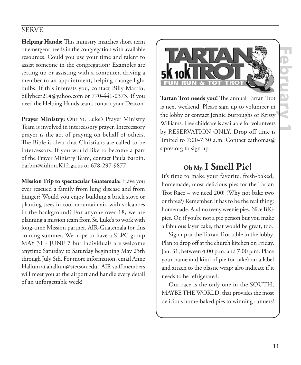# 11<br>
11<br>
11<br>
11<br>
11<br>
11

# SERVE

**Helping Hands:** This ministry matches short term or emergent needs in the congregation with available resources. Could you use your time and talent to assist someone in the congregation? Examples are setting up or assisting with a computer, driving a member to an appointment, helping change light bulbs. If this interests you, contact Billy Martin, billybeer214@yahoo.com or 770-441-0373. If you need the Helping Hands team, contact your Deacon.

**Prayer Ministry:** Our St. Luke's Prayer Ministry Team is involved in intercessory prayer. Intercessory prayer is the act of praying on behalf of others. The Bible is clear that Christians are called to be intercessors. If you would like to become a part of the Prayer Ministry Team, contact Paula Barbin, barbin@fulton.K12.ga.us or 678-297-9877.

**Mission Trip to spectacular Guatemala:** Have you ever rescued a family from lung disease and from hunger? Would you enjoy building a brick stove or planting trees in cool mountain air, with volcanoes in the background? For anyone over 18, we are planning a mission team from St. Luke's to work with long-time Mission partner, AIR-Guatemala for this coming summer. We hope to have a SLPC group MAY 31 - JUNE 7 but individuals are welcome anytime Saturday to Saturday beginning May 25th through July 6th. For more information, email Anne Hallum at ahallum@stetson.edu . AIR staff members will meet you at the airport and handle every detail of an unforgettable week!



**Tartan Trot needs you!** The annual Tartan Trot is next weekend! Please sign up to volunteer in the lobby or contact Jennie Burroughs or Krissy Williams. Free childcare is available for volunteers by RESERVATION ONLY. Drop off time is limited to 7:00-7:30 a.m. Contact cathomas@ slpres.org to sign up.

# **Oh My, I Smell Pie!**

It's time to make your favorite, fresh-baked, homemade, most delicious pies for the Tartan Trot Race – we need 200! (Why not bake two or three?) Remember, it has to be the real thing: homemade. And no teeny weenie pies. Nice BIG pies. Or, if you're not a pie person but you make a fabulous layer cake, that would be great, too.

Sign up at the Tartan Trot table in the lobby. Plan to drop off at the church kitchen on Friday, Jan. 31, between 4:00 p.m. and 7:00 p.m. Place your name and kind of pie (or cake) on a label and attach to the plastic wrap; also indicate if it needs to be refrigerated.

Our race is the only one in the SOUTH, MAYBE THE WORLD, that provides the most delicious home-baked pies to winning runners!